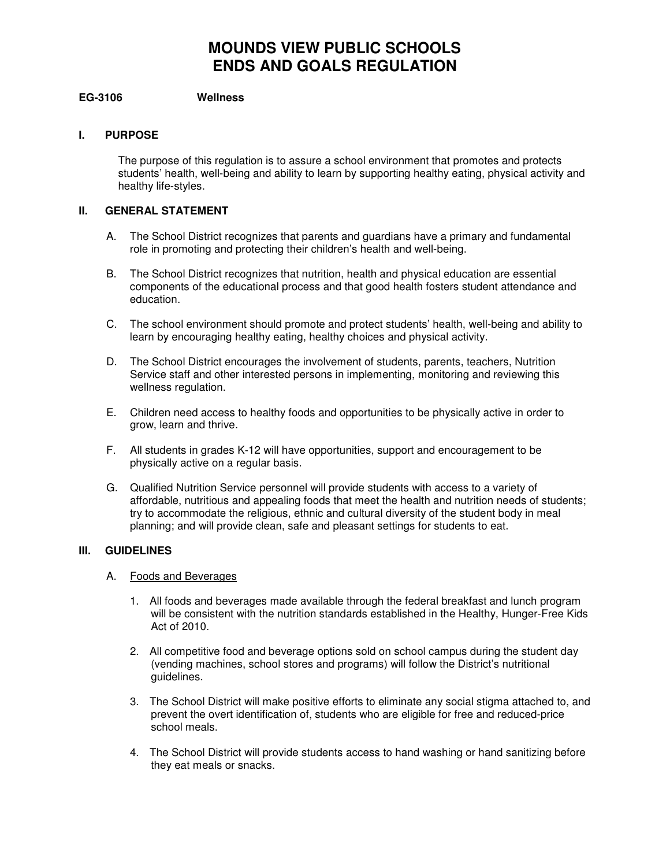# **MOUNDS VIEW PUBLIC SCHOOLS ENDS AND GOALS REGULATION**

## **EG-3106 Wellness**

## **I. PURPOSE**

The purpose of this regulation is to assure a school environment that promotes and protects students' health, well-being and ability to learn by supporting healthy eating, physical activity and healthy life-styles.

### **II. GENERAL STATEMENT**

- A. The School District recognizes that parents and guardians have a primary and fundamental role in promoting and protecting their children's health and well-being.
- B. The School District recognizes that nutrition, health and physical education are essential components of the educational process and that good health fosters student attendance and education.
- C. The school environment should promote and protect students' health, well-being and ability to learn by encouraging healthy eating, healthy choices and physical activity.
- D. The School District encourages the involvement of students, parents, teachers, Nutrition Service staff and other interested persons in implementing, monitoring and reviewing this wellness regulation.
- E. Children need access to healthy foods and opportunities to be physically active in order to grow, learn and thrive.
- F. All students in grades K-12 will have opportunities, support and encouragement to be physically active on a regular basis.
- G. Qualified Nutrition Service personnel will provide students with access to a variety of affordable, nutritious and appealing foods that meet the health and nutrition needs of students; try to accommodate the religious, ethnic and cultural diversity of the student body in meal planning; and will provide clean, safe and pleasant settings for students to eat.

## **III. GUIDELINES**

### A. Foods and Beverages

- 1. All foods and beverages made available through the federal breakfast and lunch program will be consistent with the nutrition standards established in the Healthy, Hunger-Free Kids Act of 2010.
- 2. All competitive food and beverage options sold on school campus during the student day (vending machines, school stores and programs) will follow the District's nutritional guidelines.
- 3. The School District will make positive efforts to eliminate any social stigma attached to, and prevent the overt identification of, students who are eligible for free and reduced-price school meals.
- 4. The School District will provide students access to hand washing or hand sanitizing before they eat meals or snacks.